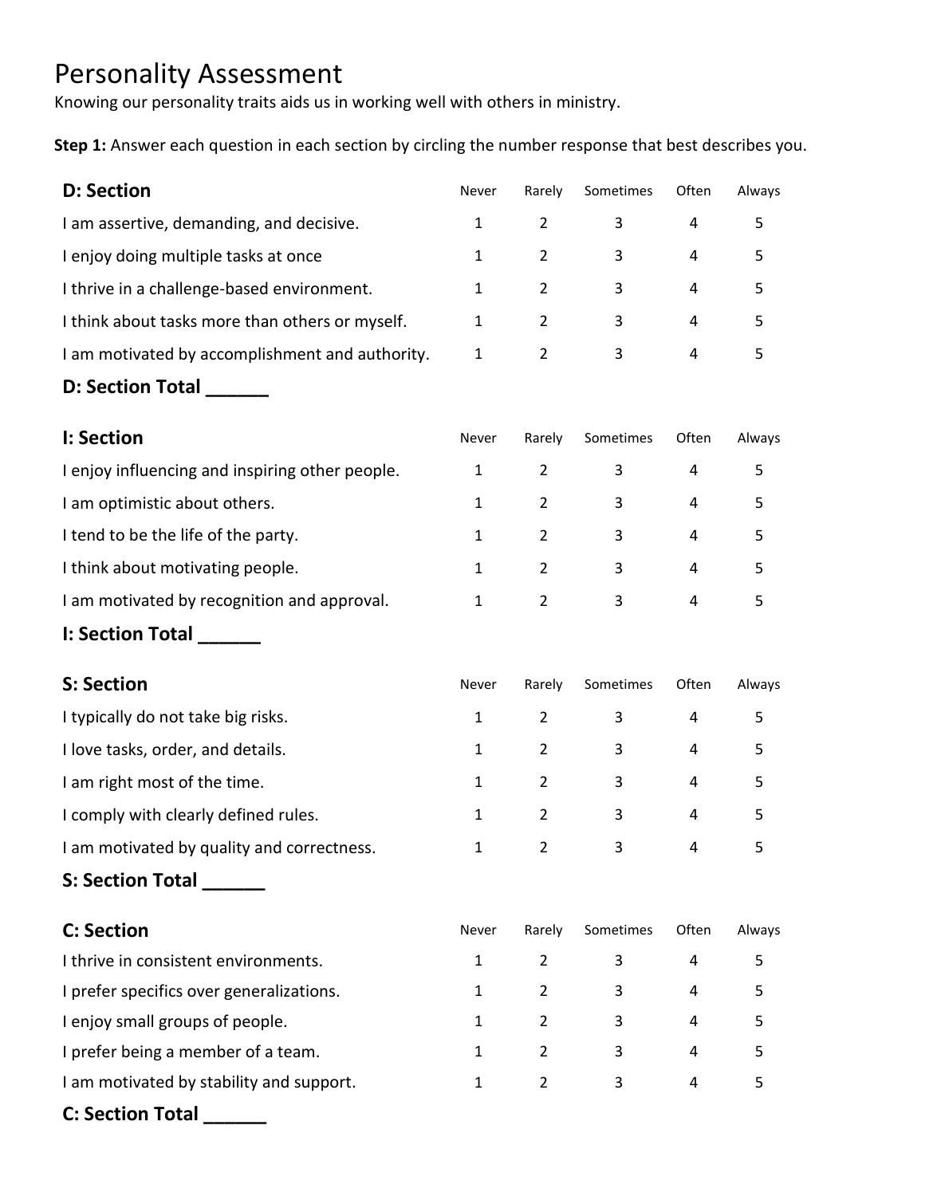## Personality Assessment

Knowing our personality traits aids us in working well with others in ministry.

**Step 1:** Answer each question in each section by circling the number response that best describes you.

| <b>D: Section</b>                               | Never        | Rarely         | Sometimes      | Often | Always |
|-------------------------------------------------|--------------|----------------|----------------|-------|--------|
| I am assertive, demanding, and decisive.        | $\mathbf{1}$ | $\overline{2}$ | 3              | 4     | 5      |
| I enjoy doing multiple tasks at once            | $\mathbf{1}$ | $\overline{2}$ | 3              | 4     | 5      |
| I thrive in a challenge-based environment.      | $\mathbf{1}$ | $\overline{2}$ | 3              | 4     | 5      |
| I think about tasks more than others or myself. | $\mathbf{1}$ | $\overline{2}$ | $\mathbf{3}$   | 4     | 5      |
| I am motivated by accomplishment and authority. | $\mathbf{1}$ | $\overline{2}$ | 3              | 4     | 5      |
| D: Section Total                                |              |                |                |       |        |
| I: Section                                      | Never        | Rarely         | Sometimes      | Often | Always |
| I enjoy influencing and inspiring other people. | $\mathbf{1}$ | $\overline{2}$ | 3              | 4     | 5      |
| I am optimistic about others.                   | $\mathbf{1}$ | $\overline{2}$ | 3              | 4     | 5      |
| I tend to be the life of the party.             | $\mathbf{1}$ | $\overline{2}$ | 3              | 4     | 5      |
| I think about motivating people.                | $\mathbf{1}$ | $\overline{2}$ | $\mathbf{3}$   | 4     | 5      |
| I am motivated by recognition and approval.     | $\mathbf{1}$ | $\overline{2}$ | 3              | 4     | 5      |
| I: Section Total _______                        |              |                |                |       |        |
| <b>S: Section</b>                               | Never        | Rarely         | Sometimes      | Often | Always |
| I typically do not take big risks.              | $\mathbf{1}$ | $\overline{2}$ | 3              | 4     | 5      |
| I love tasks, order, and details.               | $\mathbf{1}$ | $\overline{2}$ | 3              | 4     | 5      |
| I am right most of the time.                    | $\mathbf{1}$ | $\overline{2}$ | 3              | 4     | 5      |
| I comply with clearly defined rules.            | $\mathbf{1}$ | $\overline{2}$ | 3              | 4     | 5      |
| I am motivated by quality and correctness.      | $\mathbf{1}$ | $\overline{2}$ | 3              | 4     | 5      |
| S: Section Total ______                         |              |                |                |       |        |
| <b>C: Section</b>                               | Never        | Rarely         | Sometimes      | Often | Always |
| I thrive in consistent environments.            | $\mathbf{1}$ | $\overline{2}$ | 3              | 4     | 5      |
| I prefer specifics over generalizations.        | $\mathbf{1}$ | $\overline{2}$ | 3              | 4     | 5      |
| I enjoy small groups of people.                 | $\mathbf{1}$ | $\overline{2}$ | 3              | 4     | 5      |
| I prefer being a member of a team.              | $\mathbf{1}$ | $\overline{2}$ | $\mathbf{3}$   | 4     | 5      |
| I am motivated by stability and support.        | $\mathbf{1}$ | $\overline{2}$ | $\overline{3}$ | 4     | 5      |
| C: Section Total ______                         |              |                |                |       |        |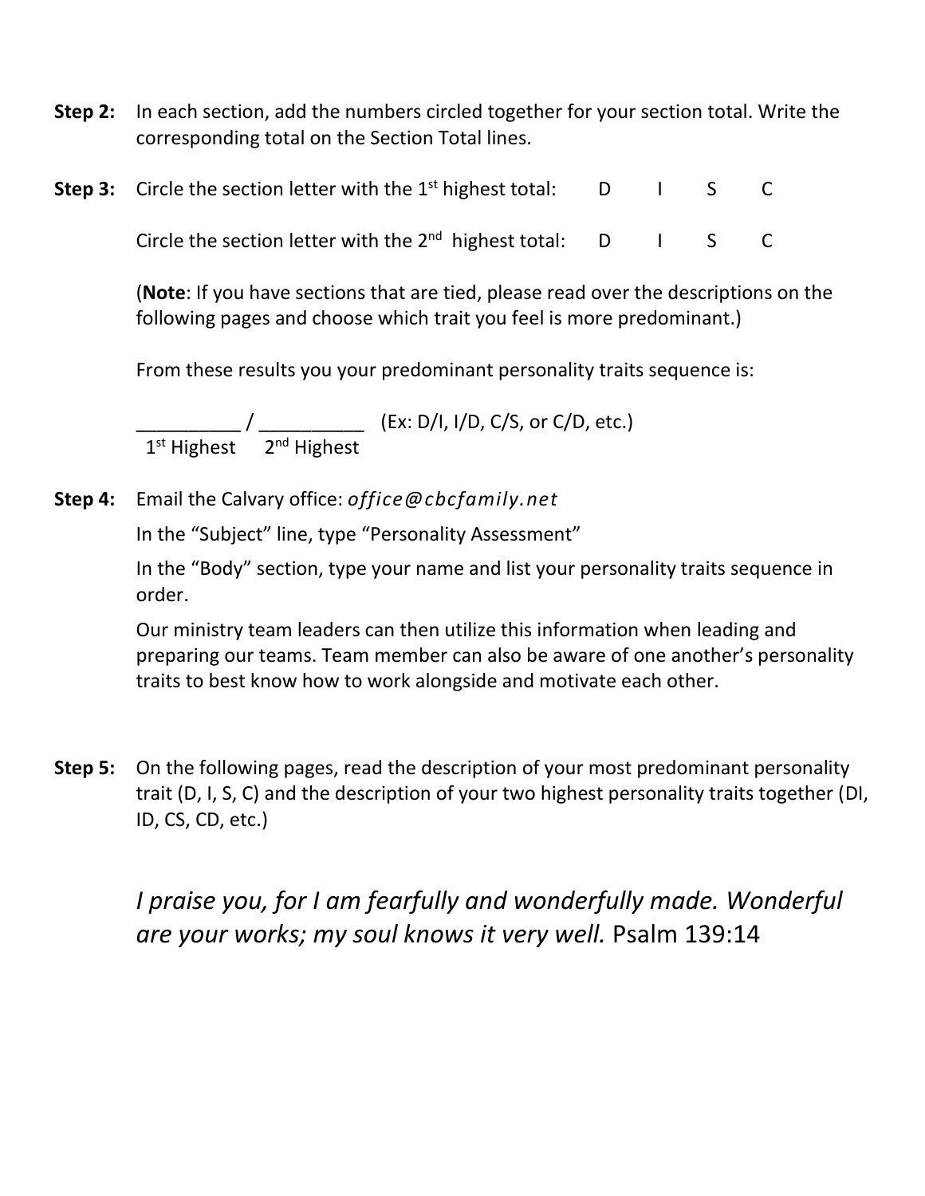- **Step 2:** In each section, add the numbers circled together for your section total. Write the corresponding total on the Section Total lines.
- **Step 3:** Circle the section letter with the 1<sup>st</sup> highest total: D I S C

Circle the section letter with the  $2^{nd}$  highest total:  $D \cup S$  C

(**Note**: If you have sections that are tied, please read over the descriptions on the following pages and choose which trait you feel is more predominant.)

From these results you your predominant personality traits sequence is:

\_\_\_\_\_\_\_\_\_\_ / \_\_\_\_\_\_\_\_\_\_ (Ex: D/I, I/D, C/S, or C/D, etc.) 1st Highest 2<sup>nd</sup> Highest

**Step 4:** Email the Calvary office: *office@cbcfamily.net*

In the "Subject" line, type "Personality Assessment"

In the "Body" section, type your name and list your personality traits sequence in order.

Our ministry team leaders can then utilize this information when leading and preparing our teams. Team member can also be aware of one another's personality traits to best know how to work alongside and motivate each other.

**Step 5:** On the following pages, read the description of your most predominant personality trait (D, I, S, C) and the description of your two highest personality traits together (DI, ID, CS, CD, etc.)

*I praise you, for I am fearfully and wonderfully made. Wonderful are your works; my soul knows it very well.* Psalm 139:14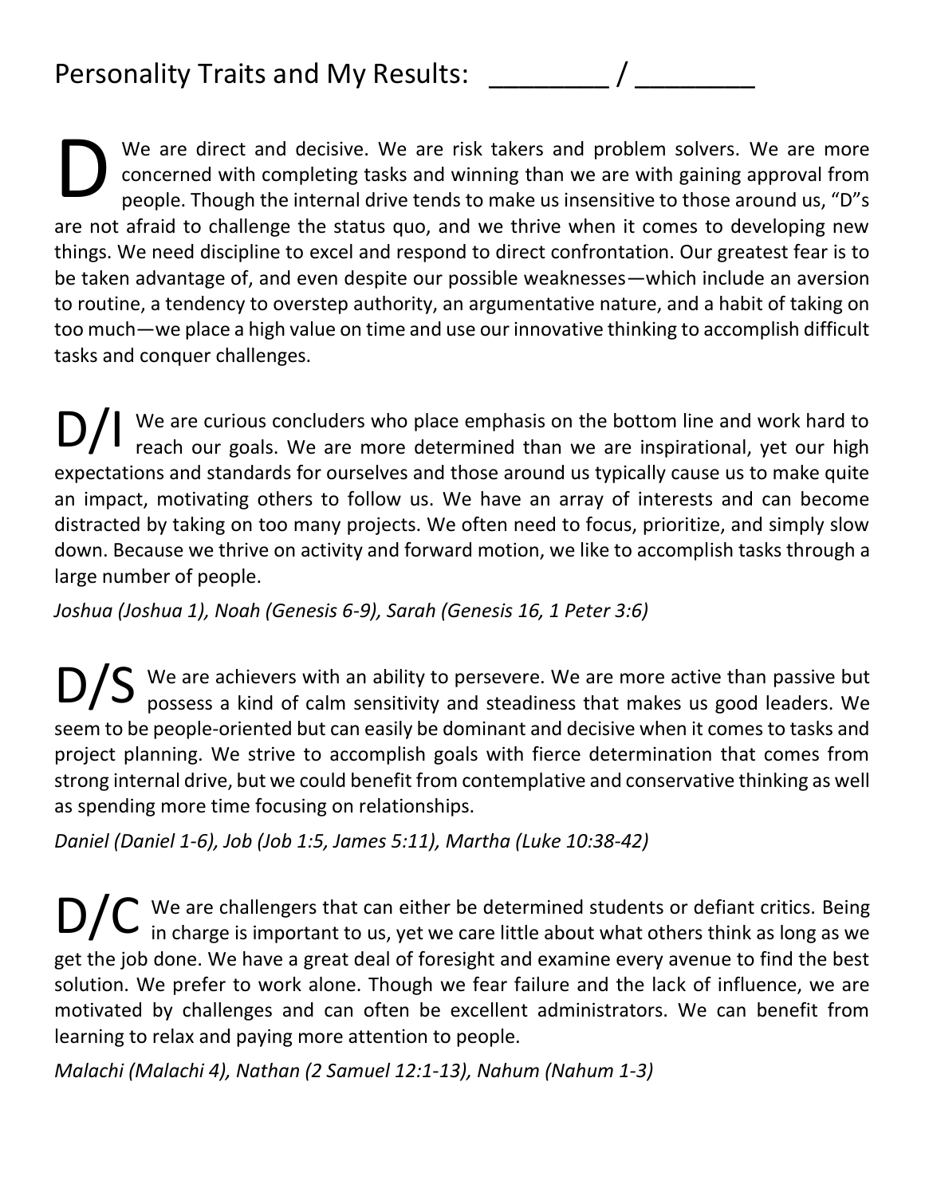We are direct and decisive. We are risk takers and problem solvers. We are more concerned with completing tasks and winning than we are with gaining approval from people. Though the internal drive tends to make us insensitive to those around us, "D"s are not afraid to challenge the status quo, and we thrive when it comes to developing new things. We need discipline to excel and respond to direct confrontation. Our greatest fear is to be taken advantage of, and even despite our possible weaknesses—which include an aversion to routine, a tendency to overstep authority, an argumentative nature, and a habit of taking on too much—we place a high value on time and use our innovative thinking to accomplish difficult tasks and conquer challenges. D

We are curious concluders who place emphasis on the bottom line and work hard to reach our goals. We are more determined than we are inspirational, yet our high expectations and standards for ourselves and those around us typically cause us to make quite an impact, motivating others to follow us. We have an array of interests and can become distracted by taking on too many projects. We often need to focus, prioritize, and simply slow down. Because we thrive on activity and forward motion, we like to accomplish tasks through a large number of people. D/I

*Joshua (Joshua 1), Noah (Genesis 6-9), Sarah (Genesis 16, 1 Peter 3:6)*

We are achievers with an ability to persevere. We are more active than passive but  $DS$  We are achievers with an ability to persevere. We are more active than passive but possess a kind of calm sensitivity and steadiness that makes us good leaders. We seem to be people-oriented but can easily be dominant and decisive when it comes to tasks and project planning. We strive to accomplish goals with fierce determination that comes from strong internal drive, but we could benefit from contemplative and conservative thinking as well as spending more time focusing on relationships.

*Daniel (Daniel 1-6), Job (Job 1:5, James 5:11), Martha (Luke 10:38-42)*

We are challengers that can either be determined students or defiant critics. Being  $\mathbf{D/C}$  We are challengers that can either be determined students or defiant critics. Being in charge is important to us, yet we care little about what others think as long as we get the job done. We have a great deal of foresight and examine every avenue to find the best solution. We prefer to work alone. Though we fear failure and the lack of influence, we are motivated by challenges and can often be excellent administrators. We can benefit from learning to relax and paying more attention to people.

*Malachi (Malachi 4), Nathan (2 Samuel 12:1-13), Nahum (Nahum 1-3)*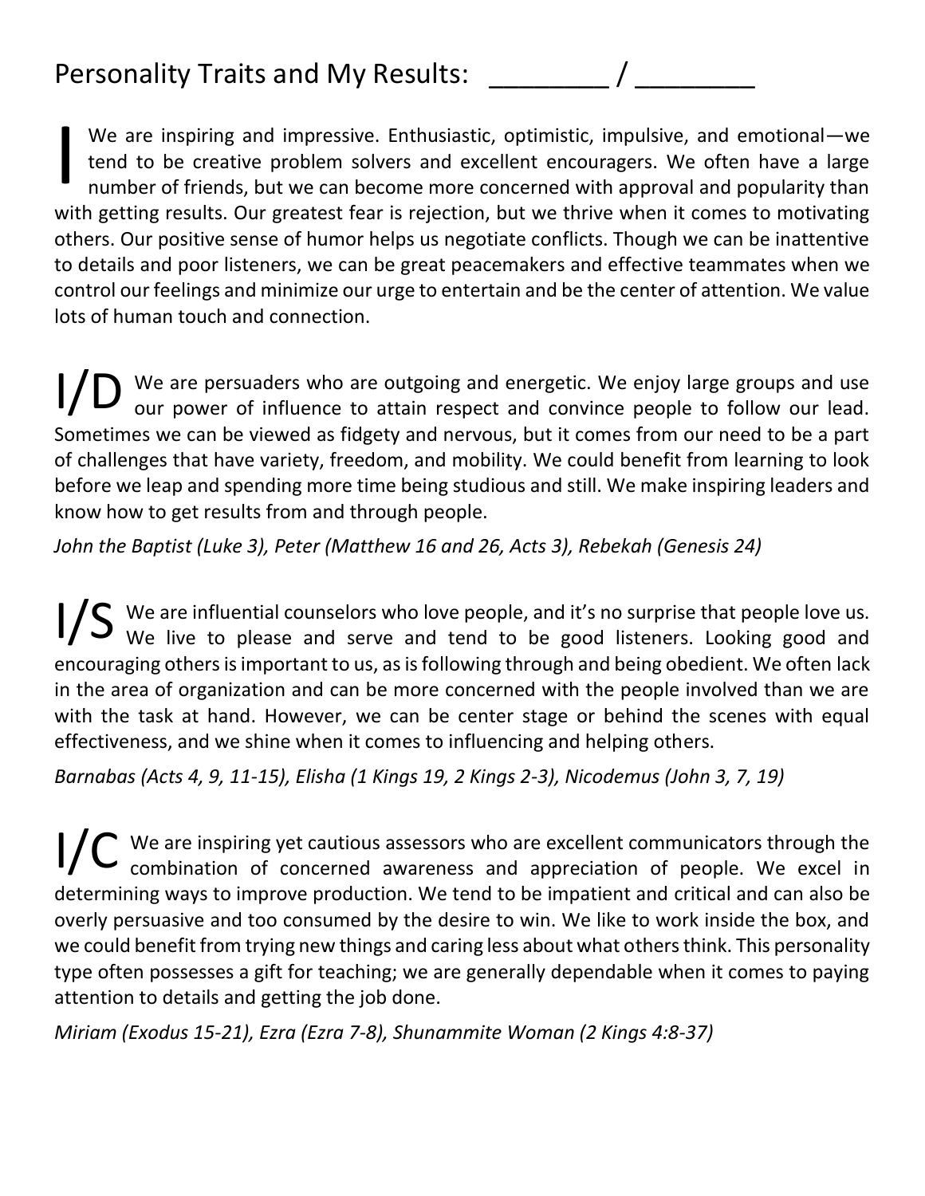## Personality Traits and My Results:

We are inspiring and impressive. Enthusiastic, optimistic, impulsive, and emotional—we tend to be creative problem solvers and excellent encouragers. We often have a large number of friends, but we can become more concerned with approval and popularity than with getting results. Our greatest fear is rejection, but we thrive when it comes to motivating others. Our positive sense of humor helps us negotiate conflicts. Though we can be inattentive to details and poor listeners, we can be great peacemakers and effective teammates when we control our feelings and minimize our urge to entertain and be the center of attention. We value lots of human touch and connection. I

We are persuaders who are outgoing and energetic. We enjoy large groups and use I/D We are persuaders who are outgoing and energetic. We enjoy large groups and use our power of influence to attain respect and convince people to follow our lead. Sometimes we can be viewed as fidgety and nervous, but it comes from our need to be a part of challenges that have variety, freedom, and mobility. We could benefit from learning to look before we leap and spending more time being studious and still. We make inspiring leaders and know how to get results from and through people.

*John the Baptist (Luke 3), Peter (Matthew 16 and 26, Acts 3), Rebekah (Genesis 24)*

We are influential counselors who love people, and it's no surprise that people love us. I/S We are influential counselors who love people, and it's no surprise that people love us.<br>I/S We live to please and serve and tend to be good listeners. Looking good and encouraging others is important to us, as is following through and being obedient. We often lack in the area of organization and can be more concerned with the people involved than we are with the task at hand. However, we can be center stage or behind the scenes with equal effectiveness, and we shine when it comes to influencing and helping others.

*Barnabas (Acts 4, 9, 11-15), Elisha (1 Kings 19, 2 Kings 2-3), Nicodemus (John 3, 7, 19)*

We are inspiring yet cautious assessors who are excellent communicators through the I/C We are inspiring yet cautious assessors who are excellent communicators through the combination of concerned awareness and appreciation of people. We excel in determining ways to improve production. We tend to be impatient and critical and can also be overly persuasive and too consumed by the desire to win. We like to work inside the box, and we could benefit from trying new things and caring less about what others think. This personality type often possesses a gift for teaching; we are generally dependable when it comes to paying attention to details and getting the job done.

*Miriam (Exodus 15-21), Ezra (Ezra 7-8), Shunammite Woman (2 Kings 4:8-37)*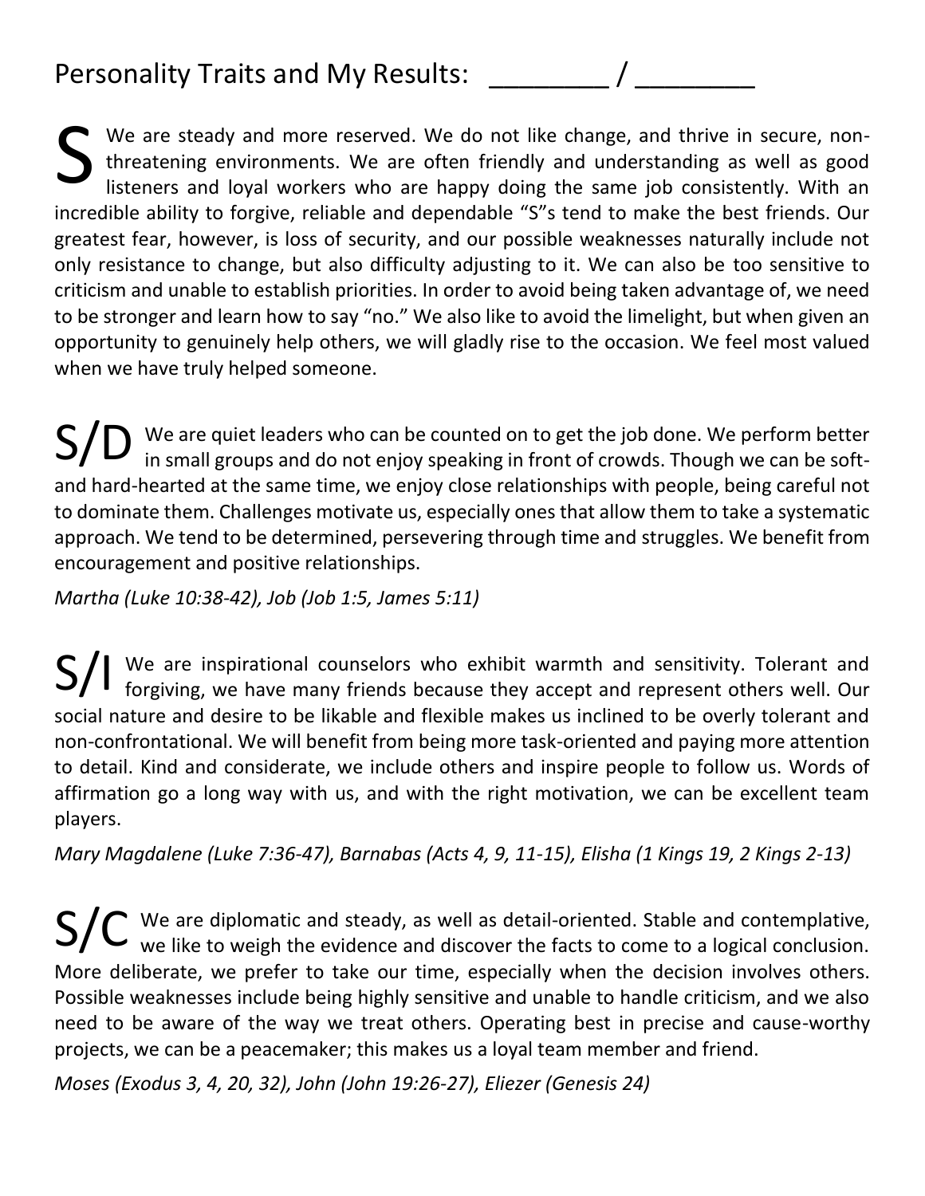## Personality Traits and My Results:

We are steady and more reserved. We do not like change, and thrive in secure, nonthreatening environments. We are often friendly and understanding as well as good listeners and loyal workers who are happy doing the same job consistently. With an incredible ability to forgive, reliable and dependable "S"s tend to make the best friends. Our greatest fear, however, is loss of security, and our possible weaknesses naturally include not only resistance to change, but also difficulty adjusting to it. We can also be too sensitive to criticism and unable to establish priorities. In order to avoid being taken advantage of, we need to be stronger and learn how to say "no." We also like to avoid the limelight, but when given an opportunity to genuinely help others, we will gladly rise to the occasion. We feel most valued when we have truly helped someone. S

We are quiet leaders who can be counted on to get the job done. We perform better in small groups and do not enjoy speaking in front of crowds. Though we can be softand hard-hearted at the same time, we enjoy close relationships with people, being careful not to dominate them. Challenges motivate us, especially ones that allow them to take a systematic approach. We tend to be determined, persevering through time and struggles. We benefit from encouragement and positive relationships. S/D

*Martha (Luke 10:38-42), Job (Job 1:5, James 5:11)*

We are inspirational counselors who exhibit warmth and sensitivity. Tolerant and  $\mathsf{S}/\mathsf{l}\;$  We are inspirational counselors who exhibit warmth and sensitivity. Tolerant and forgiving, we have many friends because they accept and represent others well. Our social nature and desire to be likable and flexible makes us inclined to be overly tolerant and non-confrontational. We will benefit from being more task-oriented and paying more attention to detail. Kind and considerate, we include others and inspire people to follow us. Words of affirmation go a long way with us, and with the right motivation, we can be excellent team players.

*Mary Magdalene (Luke 7:36-47), Barnabas (Acts 4, 9, 11-15), Elisha (1 Kings 19, 2 Kings 2-13)*

We are diplomatic and steady, as well as detail-oriented. Stable and contemplative,  $\mathsf{S}/\mathsf{C}$  We are diplomatic and steady, as well as detail-oriented. Stable and contemplative, we like to weigh the evidence and discover the facts to come to a logical conclusion. More deliberate, we prefer to take our time, especially when the decision involves others. Possible weaknesses include being highly sensitive and unable to handle criticism, and we also need to be aware of the way we treat others. Operating best in precise and cause-worthy projects, we can be a peacemaker; this makes us a loyal team member and friend.

*Moses (Exodus 3, 4, 20, 32), John (John 19:26-27), Eliezer (Genesis 24)*